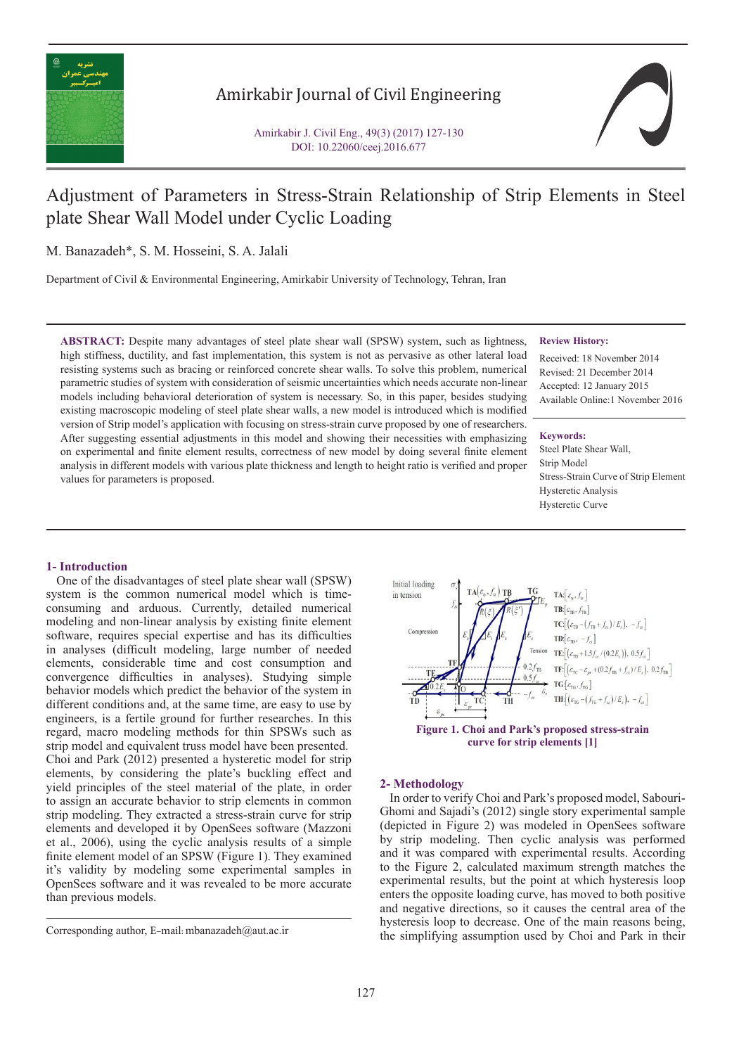

## Amirkabir Journal of Civil Engineering

Amirkabir J. Civil Eng., 49(3) (2017) 127-130 DOI: 10.22060/ceej.2016.677



# Adjustment of Parameters in Stress-Strain Relationship of Strip Elements in Steel plate Shear Wall Model under Cyclic Loading

M. Banazadeh\*, S. M. Hosseini, S. A. Jalali

Department of Civil & Environmental Engineering, Amirkabir University of Technology, Tehran, Iran

**ABSTRACT:** Despite many advantages of steel plate shear wall (SPSW) system, such as lightness, high stiffness, ductility, and fast implementation, this system is not as pervasive as other lateral load resisting systems such as bracing or reinforced concrete shear walls. To solve this problem, numerical parametric studies of system with consideration of seismic uncertainties which needs accurate non-linear models including behavioral deterioration of system is necessary. So, in this paper, besides studying existing macroscopic modeling of steel plate shear walls, a new model is introduced which is modified version of Strip model's application with focusing on stress-strain curve proposed by one of researchers. After suggesting essential adjustments in this model and showing their necessities with emphasizing on experimental and finite element results, correctness of new model by doing several finite element analysis in different models with various plate thickness and length to height ratio is verified and proper values for parameters is proposed.

## **Review History:**

Received: 18 November 2014 Revised: 21 December 2014 Accepted: 12 January 2015 Available Online:1 November 2016

## **Keywords:**

Steel Plate Shear Wall, Strip Model Stress-Strain Curve of Strip Element Hysteretic Analysis Hysteretic Curve

## **1- Introduction**

 One of the disadvantages of steel plate shear wall (SPSW) system is the common numerical model which is timeconsuming and arduous. Currently, detailed numerical modeling and non-linear analysis by existing finite element software, requires special expertise and has its difficulties in analyses (difficult modeling, large number of needed elements, considerable time and cost consumption and convergence difficulties in analyses). Studying simple behavior models which predict the behavior of the system in different conditions and, at the same time, are easy to use by engineers, is a fertile ground for further researches. In this regard, macro modeling methods for thin SPSWs such as strip model and equivalent truss model have been presented. Choi and Park (2012) presented a hysteretic model for strip elements, by considering the plate's buckling effect and yield principles of the steel material of the plate, in order to assign an accurate behavior to strip elements in common strip modeling. They extracted a stress-strain curve for strip elements and developed it by OpenSees software (Mazzoni et al., 2006), using the cyclic analysis results of a simple finite element model of an SPSW (Figure 1). They examined it's validity by modeling some experimental samples in OpenSees software and it was revealed to be more accurate than previous models.



## **2- Methodology**

 In order to verify Choi and Park's proposed model, Sabouri-Ghomi and Sajadi's (2012) single story experimental sample (depicted in Figure 2) was modeled in OpenSees software by strip modeling. Then cyclic analysis was performed and it was compared with experimental results. According to the Figure 2, calculated maximum strength matches the experimental results, but the point at which hysteresis loop enters the opposite loading curve, has moved to both positive and negative directions, so it causes the central area of the hysteresis loop to decrease. One of the main reasons being, the simplifying assumption used by Choi and Park in their corresponding author, E-mail: mbanazadeh@aut.ac.ir<br>the simplifying assumption used by Choi and Park in their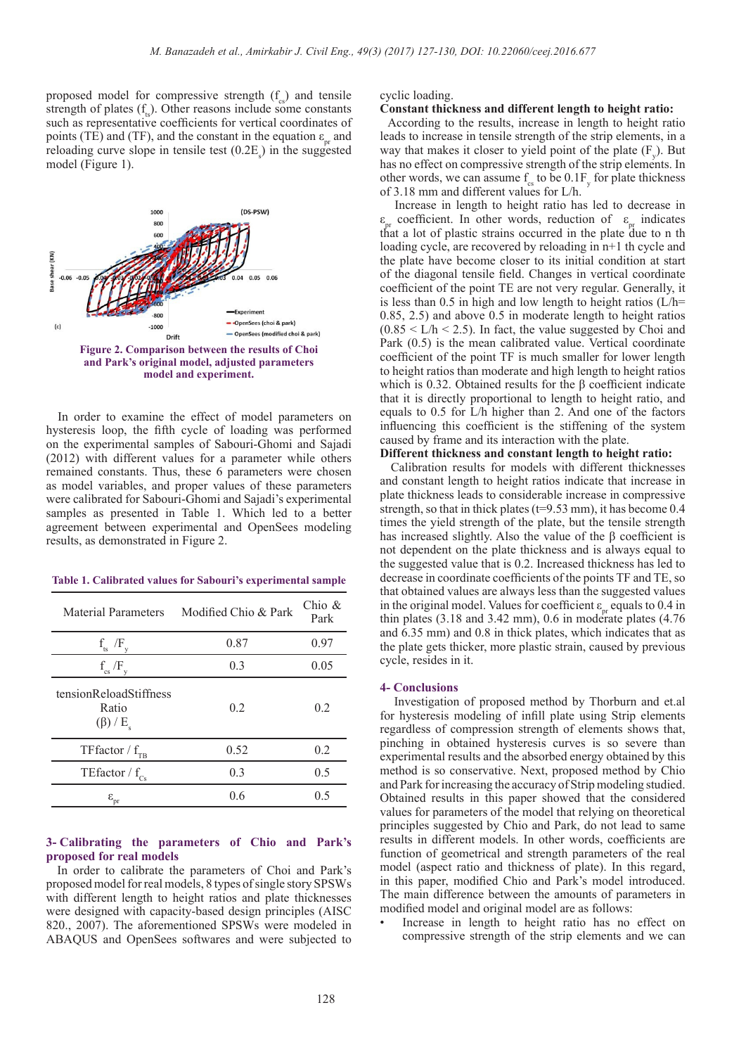proposed model for compressive strength  $(f_{\alpha})$  and tensile strength of plates  $(f_n)$ . Other reasons include some constants such as representative coefficients for vertical coordinates of points (TE) and (TF), and the constant in the equation  $\varepsilon_a$  and reloading curve slope in tensile test  $(0.2E<sub>s</sub>)$  in the suggested model (Figure 1).



 In order to examine the effect of model parameters on hysteresis loop, the fifth cycle of loading was performed on the experimental samples of Sabouri-Ghomi and Sajadi (2012) with different values for a parameter while others remained constants. Thus, these 6 parameters were chosen as model variables, and proper values of these parameters were calibrated for Sabouri-Ghomi and Sajadi's experimental samples as presented in Table 1. Which led to a better agreement between experimental and OpenSees modeling results, as demonstrated in Figure 2.

| Table 1. Calibrated values for Sabouri's experimental sample |  |  |  |  |
|--------------------------------------------------------------|--|--|--|--|
|--------------------------------------------------------------|--|--|--|--|

| Material Parameters                                           | Modified Chio & Park | Chio $&$<br>Park |
|---------------------------------------------------------------|----------------------|------------------|
| $f_{ts}$<br>Æ                                                 | 0.87                 | 0.97             |
| $f_{\rm cs}$ /F <sub>v</sub>                                  | 0.3                  | 0.05             |
| tensionReloadStiffness<br>Ratio<br>$(\beta)$ / E <sub>s</sub> | 0.2                  | 0.2              |
| TFfactor / $f_{TB}$                                           | 0.52                 | 0.2              |
| TE<br>factor / $\rm f_{\rm Cs}$                               | 0.3                  | 0.5              |
| $\boldsymbol{\epsilon}_{\mathrm{pr}}$                         | 0.6                  | 0.5              |

## **3- Calibrating the parameters of Chio and Park's proposed for real models**

 In order to calibrate the parameters of Choi and Park's proposed model for real models, 8 types of single story SPSWs with different length to height ratios and plate thicknesses were designed with capacity-based design principles (AISC 820., 2007). The aforementioned SPSWs were modeled in ABAQUS and OpenSees softwares and were subjected to cyclic loading.

#### **Constant thickness and different length to height ratio:**

 According to the results, increase in length to height ratio leads to increase in tensile strength of the strip elements, in a way that makes it closer to yield point of the plate  $(F_y)$ . But has no effect on compressive strength of the strip elements. In other words, we can assume  $f_{\rm cs}$  to be  $0.1F_{\rm y}$  for plate thickness of 3.18 mm and different values for L/h.

 Increase in length to height ratio has led to decrease in  $\varepsilon_{\text{pr}}$  coefficient. In other words, reduction of  $\varepsilon_{\text{pr}}$  indicates that a lot of plastic strains occurred in the plate due to n the loading cycle, are recovered by reloading in n+1 th cycle and the plate have become closer to its initial condition at start of the diagonal tensile field. Changes in vertical coordinate coefficient of the point TE are not very regular. Generally, it is less than 0.5 in high and low length to height ratios  $(L/h=$ 0.85, 2.5) and above 0.5 in moderate length to height ratios  $(0.85 \le L/h \le 2.5)$ . In fact, the value suggested by Choi and Park (0.5) is the mean calibrated value. Vertical coordinate coefficient of the point TF is much smaller for lower length to height ratios than moderate and high length to height ratios which is 0.32. Obtained results for the β coefficient indicate that it is directly proportional to length to height ratio, and equals to 0.5 for L/h higher than 2. And one of the factors influencing this coefficient is the stiffening of the system caused by frame and its interaction with the plate.

## **Different thickness and constant length to height ratio:**

Calibration results for models with different thicknesses and constant length to height ratios indicate that increase in plate thickness leads to considerable increase in compressive strength, so that in thick plates ( $t=9.53$  mm), it has become 0.4 times the yield strength of the plate, but the tensile strength has increased slightly. Also the value of the β coefficient is not dependent on the plate thickness and is always equal to the suggested value that is 0.2. Increased thickness has led to decrease in coordinate coefficients of the points TF and TE, so that obtained values are always less than the suggested values in the original model. Values for coefficient  $\varepsilon_{\text{pr}}$  equals to 0.4 in thin plates (3.18 and 3.42 mm), 0.6 in moderate plates (4.76 and 6.35 mm) and 0.8 in thick plates, which indicates that as the plate gets thicker, more plastic strain, caused by previous cycle, resides in it.

#### **4- Conclusions**

 Investigation of proposed method by Thorburn and et.al for hysteresis modeling of infill plate using Strip elements regardless of compression strength of elements shows that, pinching in obtained hysteresis curves is so severe than experimental results and the absorbed energy obtained by this method is so conservative. Next, proposed method by Chio and Park for increasing the accuracy of Strip modeling studied. Obtained results in this paper showed that the considered values for parameters of the model that relying on theoretical principles suggested by Chio and Park, do not lead to same results in different models. In other words, coefficients are function of geometrical and strength parameters of the real model (aspect ratio and thickness of plate). In this regard, in this paper, modified Chio and Park's model introduced. The main difference between the amounts of parameters in modified model and original model are as follows:

Increase in length to height ratio has no effect on compressive strength of the strip elements and we can